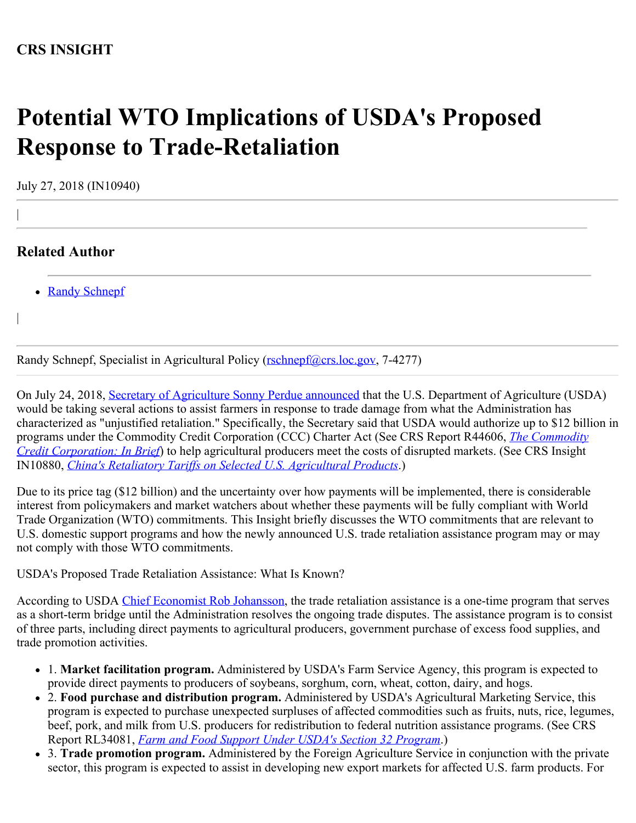# **Potential WTO Implications of USDA's Proposed Response to Trade-Retaliation**

July 27, 2018 (IN10940)

# **Related Author**

|

|

• [Randy Schnepf](http://www.crs.gov/Author/index?id=75925)

Randy Schnepf, Specialist in Agricultural Policy ([rschnepf@crs.loc.gov,](mailto:rschnepf@crs.loc.gov) 7-4277)

On July 24, 2018, [Secretary of Agriculture Sonny Perdue announced](https://www.usda.gov/media/press-releases/2018/07/24/usda-assists-farmers-impacted-unjustified-retaliation) that the U.S. Department of Agriculture (USDA) would be taking several actions to assist farmers in response to trade damage from what the Administration has characterized as "unjustified retaliation." Specifically, the Secretary said that USDA would authorize up to \$12 billion in programs under the Commodity Credit Corporation (CCC) Charter Act (See CRS Report R44606, *[The Commodity](https://fas.org/sgp/crs/misc/R44606.pdf) [Credit Corporation: In Brief](https://fas.org/sgp/crs/misc/R44606.pdf)*) to help agricultural producers meet the costs of disrupted markets. (See CRS Insight IN10880, *[China's Retaliatory Tariffs on Selected U.S. Agricultural Products](https://fas.org/sgp/crs/row/IN10880.pdf)*.)

Due to its price tag (\$12 billion) and the uncertainty over how payments will be implemented, there is considerable interest from policymakers and market watchers about whether these payments will be fully compliant with World Trade Organization (WTO) commitments. This Insight briefly discusses the WTO commitments that are relevant to U.S. domestic support programs and how the newly announced U.S. trade retaliation assistance program may or may not comply with those WTO commitments.

USDA's Proposed Trade Retaliation Assistance: What Is Known?

According to USDA [Chief Economist Rob Johansson](https://www.politico.com/newsletters/morning-agriculture/2018/07/25/billions-in-trade-aid-for-farmers-coming-soon-296341), the trade retaliation assistance is a one-time program that serves as a short-term bridge until the Administration resolves the ongoing trade disputes. The assistance program is to consist of three parts, including direct payments to agricultural producers, government purchase of excess food supplies, and trade promotion activities.

- 1. **Market facilitation program.** Administered by USDA's Farm Service Agency, this program is expected to provide direct payments to producers of soybeans, sorghum, corn, wheat, cotton, dairy, and hogs.
- 2. **Food purchase and distribution program.** Administered by USDA's Agricultural Marketing Service, this program is expected to purchase unexpected surpluses of affected commodities such as fruits, nuts, rice, legumes, beef, pork, and milk from U.S. producers for redistribution to federal nutrition assistance programs. (See CRS Report RL34081, *[Farm and Food Support Under USDA's Section 32 Program](https://fas.org/sgp/crs/misc/RL34081.pdf)*.)
- 3. **Trade promotion program.** Administered by the Foreign Agriculture Service in conjunction with the private sector, this program is expected to assist in developing new export markets for affected U.S. farm products. For